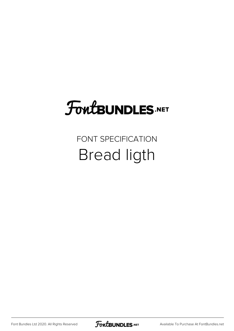## **FoutBUNDLES.NET**

## FONT SPECIFICATION Bread ligth

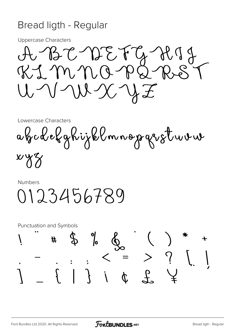## Bread ligth - Regular

**Uppercase Characters** 

 $L$  BC DEF  $\zeta \cap \zeta$  $R<sup>1</sup> M, M, R<sup>-1</sup>$  $R_{\star}S$  $\mathcal{L}$ 

Lowercase Characters

abodebghijklmnopgsstuvu

xyz

Numbers 0123456789

**Punctuation and Symbols**  $\frac{1}{\sqrt{2}}$  $\boldsymbol{\sharp}$  $\gamma$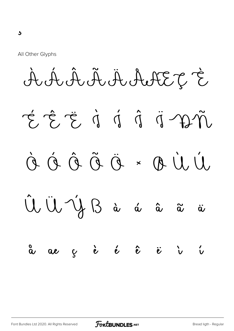$\overline{\mathbf{5}}$ 

All Other Glyphs

F J FARA A A LET É ÉÊË JÍ JÄJH ÒÒÔÔÔ×®ÙÙ Û Ü Ý B à á â  $\boldsymbol{\tilde{\alpha}}$  $\ddot{\alpha}$  $\begin{array}{ccc} \downarrow & \downarrow & \downarrow & \hat{e} \end{array}$  $\alpha$  $\ddot{e}$   $\vee$ ae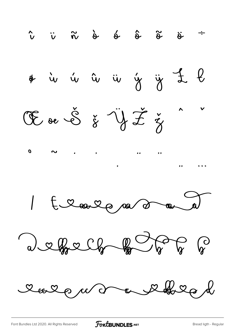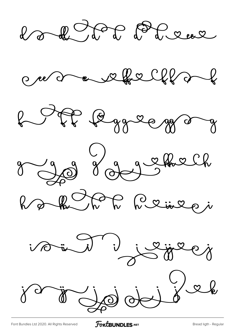book top Deces









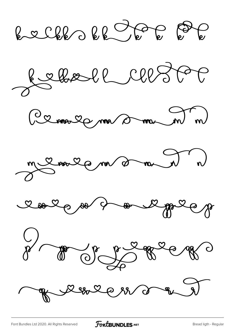Lechbo le Top PP











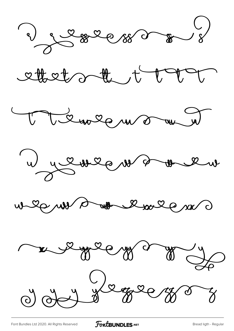